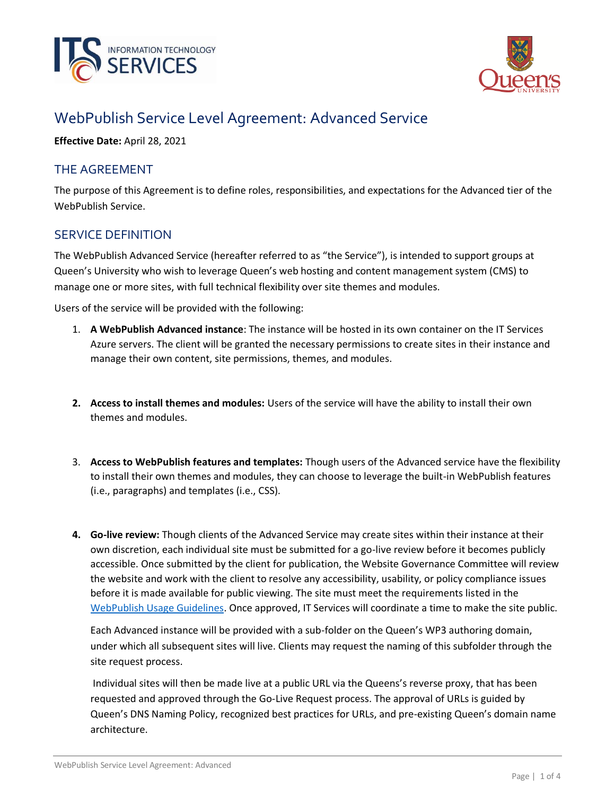



# WebPublish Service Level Agreement: Advanced Service

**Effective Date:** April 28, 2021

#### THE AGREEMENT

The purpose of this Agreement is to define roles, responsibilities, and expectations for the Advanced tier of the WebPublish Service.

## SERVICE DEFINITION

The WebPublish Advanced Service (hereafter referred to as "the Service"), is intended to support groups at Queen's University who wish to leverage Queen's web hosting and content management system (CMS) to manage one or more sites, with full technical flexibility over site themes and modules.

Users of the service will be provided with the following:

- 1. **A WebPublish Advanced instance**: The instance will be hosted in its own container on the IT Services Azure servers. The client will be granted the necessary permissions to create sites in their instance and manage their own content, site permissions, themes, and modules.
- **2. Access to install themes and modules:** Users of the service will have the ability to install their own themes and modules.
- 3. **Access to WebPublish features and templates:** Though users of the Advanced service have the flexibility to install their own themes and modules, they can choose to leverage the built-in WebPublish features (i.e., paragraphs) and templates (i.e., CSS).
- **4. Go-live review:** Though clients of the Advanced Service may create sites within their instance at their own discretion, each individual site must be submitted for a go-live review before it becomes publicly accessible. Once submitted by the client for publication, the Website Governance Committee will review the website and work with the client to resolve any accessibility, usability, or policy compliance issues before it is made available for public viewing. The site must meet the requirements listed in the [WebPublish Usage Guidelines.](https://queensu.ca/webpublish/about/usage-guidelines) Once approved, IT Services will coordinate a time to make the site public.

Each Advanced instance will be provided with a sub-folder on the Queen's WP3 authoring domain, under which all subsequent sites will live. Clients may request the naming of this subfolder through the site request process.

Individual sites will then be made live at a public URL via the Queens's reverse proxy, that has been requested and approved through the Go-Live Request process. The approval of URLs is guided by Queen's DNS Naming Policy, recognized best practices for URLs, and pre-existing Queen's domain name architecture.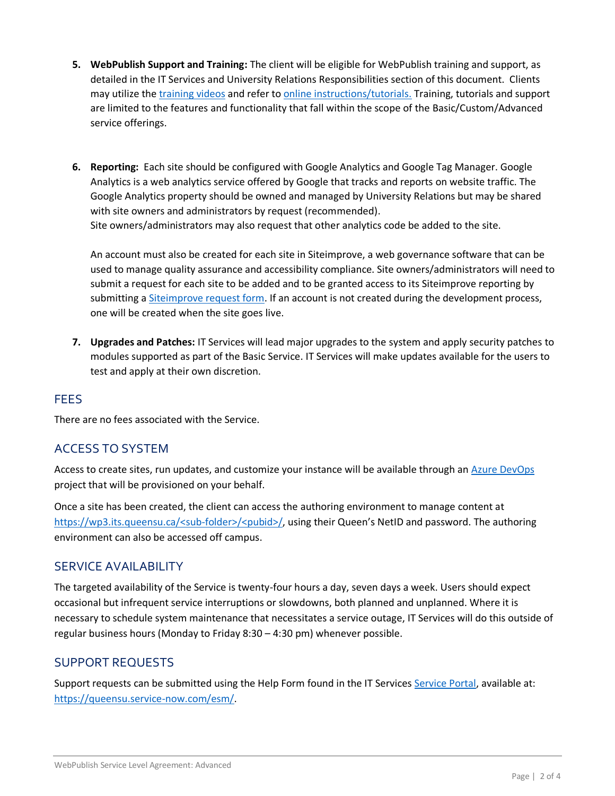- **5. WebPublish Support and Training:** The client will be eligible for WebPublish training and support, as detailed in the IT Services and University Relations Responsibilities section of this document. Clients may utilize the [training videos](https://www.queensu.ca/webpublish/training/videos) and refer to [online instructions/tutorials.](https://queensu.ca/webpublish/tutorials) Training, tutorials and support are limited to the features and functionality that fall within the scope of the Basic/Custom/Advanced service offerings.
- **6. Reporting:** Each site should be configured with Google Analytics and Google Tag Manager. Google Analytics is a web analytics service offered by Google that tracks and reports on website traffic. The Google Analytics property should be owned and managed by University Relations but may be shared with site owners and administrators by request (recommended). Site owners/administrators may also request that other analytics code be added to the site.

An account must also be created for each site in Siteimprove, a web governance software that can be used to manage quality assurance and accessibility compliance. Site owners/administrators will need to submit a request for each site to be added and to be granted access to its Siteimprove reporting by submitting a [Siteimprove request form.](https://queensu.service-now.com/esm/?id=sc_cat_item&sys_id=ce07c1451b3704d0f437a9fbbc4bcb8c) If an account is not created during the development process, one will be created when the site goes live.

**7. Upgrades and Patches:** IT Services will lead major upgrades to the system and apply security patches to modules supported as part of the Basic Service. IT Services will make updates available for the users to test and apply at their own discretion.

#### FEES

There are no fees associated with the Service.

#### ACCESS TO SYSTEM

Access to create sites, run updates, and customize your instance will be available through an [Azure DevOps](https://azure.microsoft.com/en-ca/services/devops/) project that will be provisioned on your behalf.

Once a site has been created, the client can access the authoring environment to manage content at [https://wp3.its.queensu.ca/<sub-folder>/<pubid>/](https://wp3.its.queensu.ca/%3csub-folder%3e/%3cpubid%3e/), using their Queen's NetID and password. The authoring environment can also be accessed off campus.

#### SERVICE AVAILABILITY

The targeted availability of the Service is twenty-four hours a day, seven days a week. Users should expect occasional but infrequent service interruptions or slowdowns, both planned and unplanned. Where it is necessary to schedule system maintenance that necessitates a service outage, IT Services will do this outside of regular business hours (Monday to Friday 8:30 – 4:30 pm) whenever possible.

#### SUPPORT REQUESTS

Support requests can be submitted using the Help Form found in the IT Service[s Service Portal,](https://queensu.service-now.com/esm/) available at: [https://queensu.service-now.com/esm/.](https://queensu.service-now.com/esm/)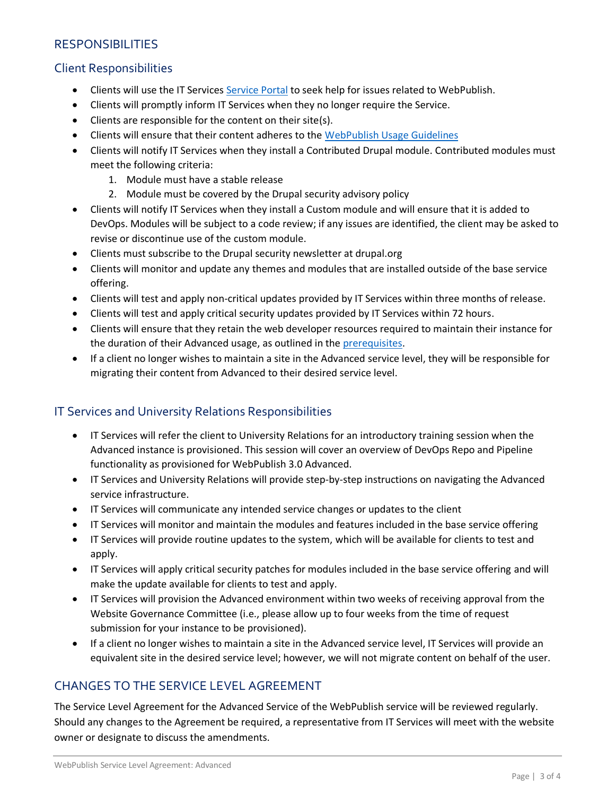## **RESPONSIBILITIES**

## Client Responsibilities

- Clients will use the IT Services [Service Portal](https://queensu.service-now.com/esm/) to seek help for issues related to WebPublish.
- Clients will promptly inform IT Services when they no longer require the Service.
- Clients are responsible for the content on their site(s).
- Clients will ensure that their content adheres to the [WebPublish Usage Guidelines](https://queensu.ca/webpublish/about/usage-guidelines)
- Clients will notify IT Services when they install a Contributed Drupal module. Contributed modules must meet the following criteria:
	- 1. Module must have a stable release
	- 2. Module must be covered by the Drupal security advisory policy
- Clients will notify IT Services when they install a Custom module and will ensure that it is added to DevOps. Modules will be subject to a code review; if any issues are identified, the client may be asked to revise or discontinue use of the custom module.
- Clients must subscribe to the Drupal security newsletter at drupal.org
- Clients will monitor and update any themes and modules that are installed outside of the base service offering.
- Clients will test and apply non-critical updates provided by IT Services within three months of release.
- Clients will test and apply critical security updates provided by IT Services within 72 hours.
- Clients will ensure that they retain the web developer resources required to maintain their instance for the duration of their Advanced usage, as outlined in th[e prerequisites.](https://www.queensu.ca/webpublish/tutorials/getting-started-advanced)
- If a client no longer wishes to maintain a site in the Advanced service level, they will be responsible for migrating their content from Advanced to their desired service level.

#### IT Services and University Relations Responsibilities

- IT Services will refer the client to University Relations for an introductory training session when the Advanced instance is provisioned. This session will cover an overview of DevOps Repo and Pipeline functionality as provisioned for WebPublish 3.0 Advanced.
- IT Services and University Relations will provide step-by-step instructions on navigating the Advanced service infrastructure.
- IT Services will communicate any intended service changes or updates to the client
- IT Services will monitor and maintain the modules and features included in the base service offering
- IT Services will provide routine updates to the system, which will be available for clients to test and apply.
- IT Services will apply critical security patches for modules included in the base service offering and will make the update available for clients to test and apply.
- IT Services will provision the Advanced environment within two weeks of receiving approval from the Website Governance Committee (i.e., please allow up to four weeks from the time of request submission for your instance to be provisioned).
- If a client no longer wishes to maintain a site in the Advanced service level, IT Services will provide an equivalent site in the desired service level; however, we will not migrate content on behalf of the user.

# CHANGES TO THE SERVICE LEVEL AGREEMENT

The Service Level Agreement for the Advanced Service of the WebPublish service will be reviewed regularly. Should any changes to the Agreement be required, a representative from IT Services will meet with the website owner or designate to discuss the amendments.